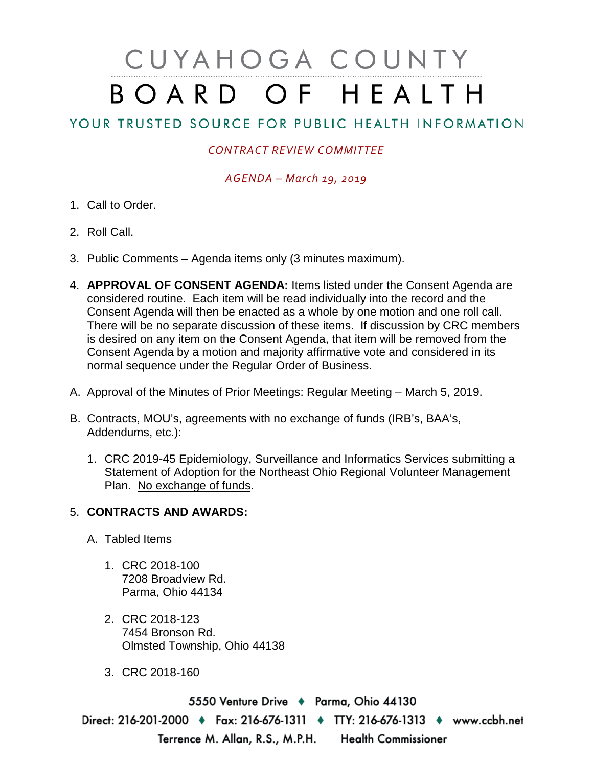# CUYAHOGA COUNTY BOARD OF HEALTH

## YOUR TRUSTED SOURCE FOR PUBLIC HEALTH INFORMATION

### *CONTRACT REVIEW COMMITTEE*

#### *AGENDA – March 19, 2019*

- 1. Call to Order.
- 2. Roll Call.
- 3. Public Comments Agenda items only (3 minutes maximum).
- 4. **APPROVAL OF CONSENT AGENDA:** Items listed under the Consent Agenda are considered routine. Each item will be read individually into the record and the Consent Agenda will then be enacted as a whole by one motion and one roll call. There will be no separate discussion of these items. If discussion by CRC members is desired on any item on the Consent Agenda, that item will be removed from the Consent Agenda by a motion and majority affirmative vote and considered in its normal sequence under the Regular Order of Business.
- A. Approval of the Minutes of Prior Meetings: Regular Meeting March 5, 2019.
- B. Contracts, MOU's, agreements with no exchange of funds (IRB's, BAA's, Addendums, etc.):
	- 1. CRC 2019-45 Epidemiology, Surveillance and Informatics Services submitting a Statement of Adoption for the Northeast Ohio Regional Volunteer Management Plan. No exchange of funds.

### 5. **CONTRACTS AND AWARDS:**

- A. Tabled Items
	- 1. CRC 2018-100 7208 Broadview Rd. Parma, Ohio 44134
	- 2. CRC 2018-123 7454 Bronson Rd. Olmsted Township, Ohio 44138
	- 3. CRC 2018-160

5550 Venture Drive + Parma, Ohio 44130 Direct: 216-201-2000 ♦ Fax: 216-676-1311 ♦ TTY: 216-676-1313 ♦ www.ccbh.net Terrence M. Allan, R.S., M.P.H. Health Commissioner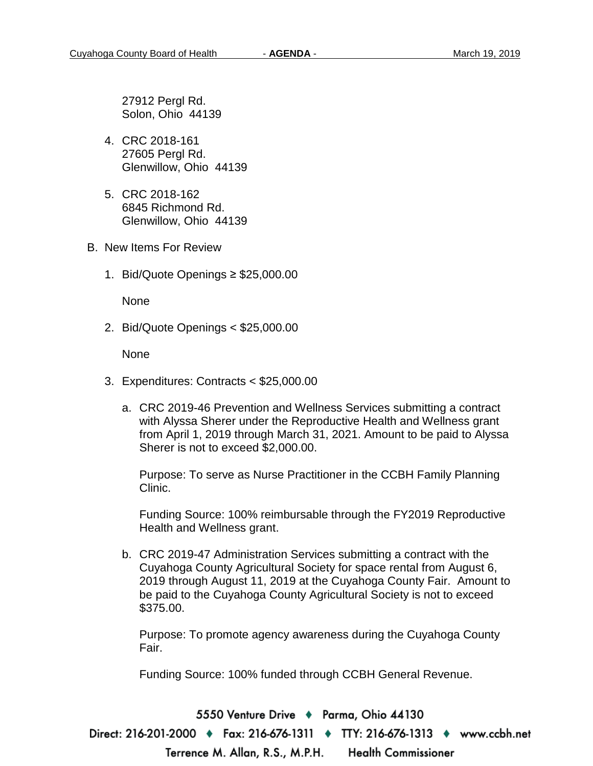27912 Pergl Rd. Solon, Ohio 44139

- 4. CRC 2018-161 27605 Pergl Rd. Glenwillow, Ohio 44139
- 5. CRC 2018-162 6845 Richmond Rd. Glenwillow, Ohio 44139
- B. New Items For Review
	- 1. Bid/Quote Openings ≥ \$25,000.00

None

2. Bid/Quote Openings < \$25,000.00

None

- 3. Expenditures: Contracts < \$25,000.00
	- a. CRC 2019-46 Prevention and Wellness Services submitting a contract with Alyssa Sherer under the Reproductive Health and Wellness grant from April 1, 2019 through March 31, 2021. Amount to be paid to Alyssa Sherer is not to exceed \$2,000.00.

Purpose: To serve as Nurse Practitioner in the CCBH Family Planning Clinic.

Funding Source: 100% reimbursable through the FY2019 Reproductive Health and Wellness grant.

b. CRC 2019-47 Administration Services submitting a contract with the Cuyahoga County Agricultural Society for space rental from August 6, 2019 through August 11, 2019 at the Cuyahoga County Fair. Amount to be paid to the Cuyahoga County Agricultural Society is not to exceed \$375.00.

Purpose: To promote agency awareness during the Cuyahoga County Fair.

Funding Source: 100% funded through CCBH General Revenue.

5550 Venture Drive + Parma, Ohio 44130 Direct: 216-201-2000 ♦ Fax: 216-676-1311 ♦ TTY: 216-676-1313 ♦ www.ccbh.net **Health Commissioner** Terrence M. Allan, R.S., M.P.H.